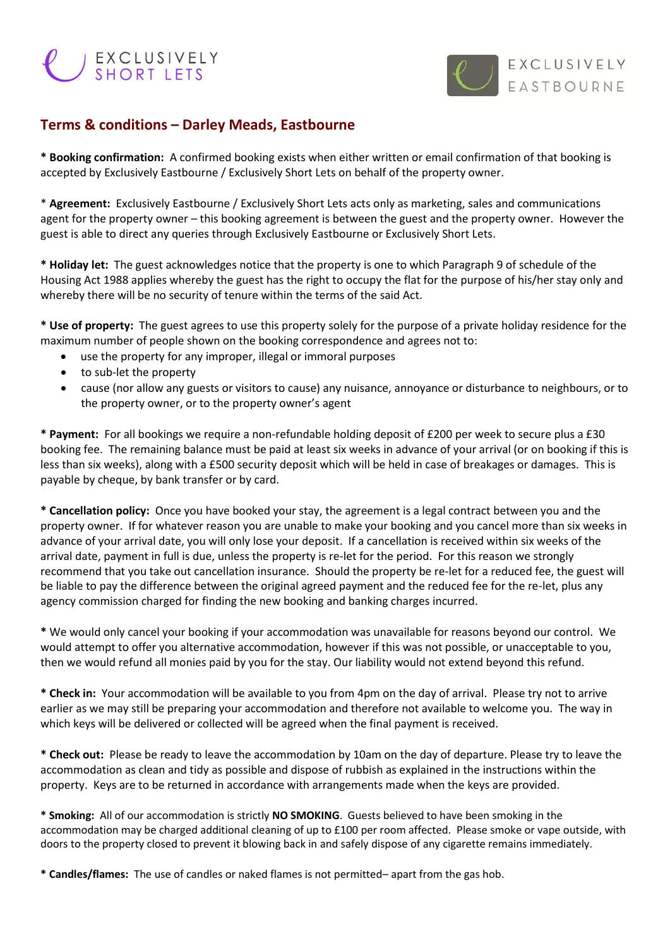## EXCLUSIVELY



## **Terms & conditions – Darley Meads, Eastbourne**

**\* Booking confirmation:** A confirmed booking exists when either written or email confirmation of that booking is accepted by Exclusively Eastbourne / Exclusively Short Lets on behalf of the property owner.

\* **Agreement:** Exclusively Eastbourne / Exclusively Short Lets acts only as marketing, sales and communications agent for the property owner – this booking agreement is between the guest and the property owner. However the guest is able to direct any queries through Exclusively Eastbourne or Exclusively Short Lets.

**\* Holiday let:** The guest acknowledges notice that the property is one to which Paragraph 9 of schedule of the Housing Act 1988 applies whereby the guest has the right to occupy the flat for the purpose of his/her stay only and whereby there will be no security of tenure within the terms of the said Act.

**\* Use of property:** The guest agrees to use this property solely for the purpose of a private holiday residence for the maximum number of people shown on the booking correspondence and agrees not to:

- use the property for any improper, illegal or immoral purposes
- to sub-let the property
- cause (nor allow any guests or visitors to cause) any nuisance, annoyance or disturbance to neighbours, or to the property owner, or to the property owner's agent

**\* Payment:** For all bookings we require a non-refundable holding deposit of £200 per week to secure plus a £30 booking fee. The remaining balance must be paid at least six weeks in advance of your arrival (or on booking if this is less than six weeks), along with a £500 security deposit which will be held in case of breakages or damages. This is payable by cheque, by bank transfer or by card.

**\* Cancellation policy:** Once you have booked your stay, the agreement is a legal contract between you and the property owner. If for whatever reason you are unable to make your booking and you cancel more than six weeks in advance of your arrival date, you will only lose your deposit. If a cancellation is received within six weeks of the arrival date, payment in full is due, unless the property is re-let for the period. For this reason we strongly recommend that you take out cancellation insurance. Should the property be re-let for a reduced fee, the guest will be liable to pay the difference between the original agreed payment and the reduced fee for the re-let, plus any agency commission charged for finding the new booking and banking charges incurred.

**\*** We would only cancel your booking if your accommodation was unavailable for reasons beyond our control. We would attempt to offer you alternative accommodation, however if this was not possible, or unacceptable to you, then we would refund all monies paid by you for the stay. Our liability would not extend beyond this refund.

**\* Check in:** Your accommodation will be available to you from 4pm on the day of arrival. Please try not to arrive earlier as we may still be preparing your accommodation and therefore not available to welcome you. The way in which keys will be delivered or collected will be agreed when the final payment is received.

**\* Check out:** Please be ready to leave the accommodation by 10am on the day of departure. Please try to leave the accommodation as clean and tidy as possible and dispose of rubbish as explained in the instructions within the property. Keys are to be returned in accordance with arrangements made when the keys are provided.

**\* Smoking:** All of our accommodation is strictly **NO SMOKING**. Guests believed to have been smoking in the accommodation may be charged additional cleaning of up to £100 per room affected. Please smoke or vape outside, with doors to the property closed to prevent it blowing back in and safely dispose of any cigarette remains immediately.

**\* Candles/flames:** The use of candles or naked flames is not permitted– apart from the gas hob.